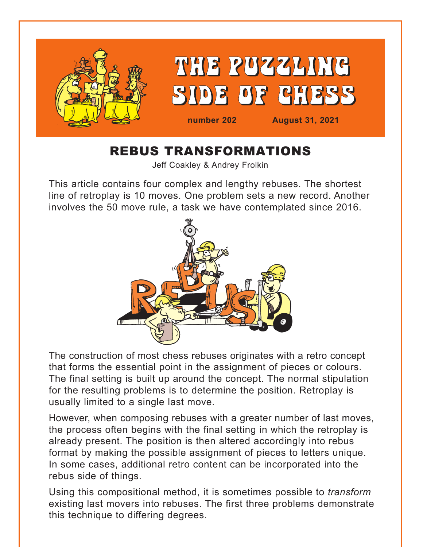

# REBUS TRANSFORMATIONS

Jeff Coakley & Andrey Frolkin

This article contains four complex and lengthy rebuses. The shortest line of retroplay is 10 moves. One problem sets a new record. Another involves the 50 move rule, a task we have contemplated since 2016.



The construction of most chess rebuses originates with a retro concept that forms the essential point in the assignment of pieces or colours. The final setting is built up around the concept. The normal stipulation for the resulting problems is to determine the position. Retroplay is usually limited to a single last move.

However, when composing rebuses with a greater number of last moves, the process often begins with the final setting in which the retroplay is already present. The position is then altered accordingly into rebus format by making the possible assignment of pieces to letters unique. In some cases, additional retro content can be incorporated into the rebus side of things.

Using this compositional method, it is sometimes possible to *transform* existing last movers into rebuses. The first three problems demonstrate this technique to differing degrees.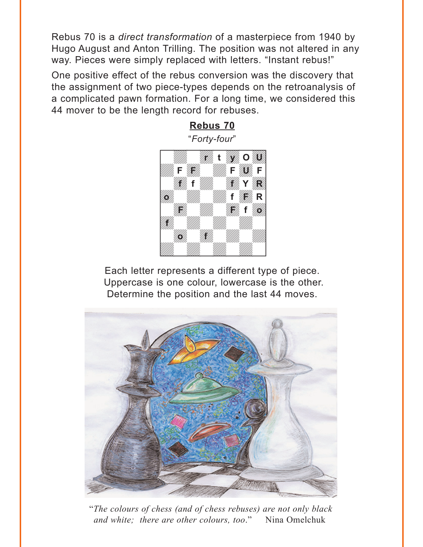<span id="page-1-0"></span>Rebus 70 is a *direct transformation* of a masterpiece from 1940 by Hugo August and Anton Trilling. The position was not altered in any way. Pieces were simply replaced with letters. "Instant rebus!"

One positive effect of the rebus conversion was the discovery that the assignment of two piece-types depends on the retroanalysis of a complicated pawn formation. For a long time, we considered this 44 mover to be the length record for rebuses.

> **[Rebus 70](#page-5-0)** "*Forty-four*" w\_\_\_\_\_\_\_\_w **din water of the contract of the contract of the contract of the contract of the contract of the contract of th** F HAW F SAF **Example 1999**  $\mathcal{H}_{\mu}$   $\mathcal{H}_{\mu}$  **f**  $\mathcal{H}_{\mu}$  **R All March 1999** a a gantar a gantar a gantar a gantar a gantar a gantar a gantar a gantar a gantar a gantar a gantar a gantar<br>Tagairtí a wakazi wakazi wakazi wakazi wakazi wakazi wakazi wakazi wa wakazi wa wakazi wa wakazi wakazi wakazi wakazi w a katika a katika a katika a katika a katika a katika a katika a katika a katika a katika a katika a katika a **r t** *Will***, O 20** F*wi<sub>th</sub> Will Fwy*, F **f f f Y R o f F R F** *H* f **160 f o f**

Each letter represents a different type of piece. Uppercase is one colour, lowercase is the other. Determine the position and the last 44 moves.  $\frac{1}{2}$  we have the set of  $\frac{1}{2}$ 



"*The colours of chess (and of chess rebuses) are not only black and white; there are other colours, too*." Nina Omelchuk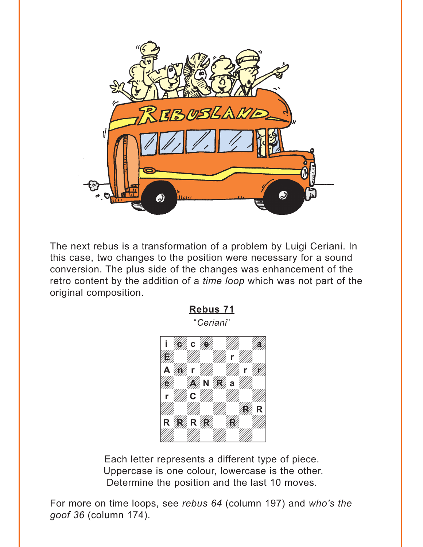<span id="page-2-0"></span>

The next rebus is a transformation of a problem by Luigi Ceriani. In this case, two changes to the position were necessary for a sound conversion. The plus side of the changes was enhancement of the retro content by the addition of a *time loop* which was not part of the original composition.

**[Rebus 71](#page-9-0)**



Each letter represents a different type of piece. Uppercase is one colour, lowercase is the other. Determine the position and the last 10 moves.

For more on time loops, see *rebus 64* (column 197) and *who's the goof 36* (column 174).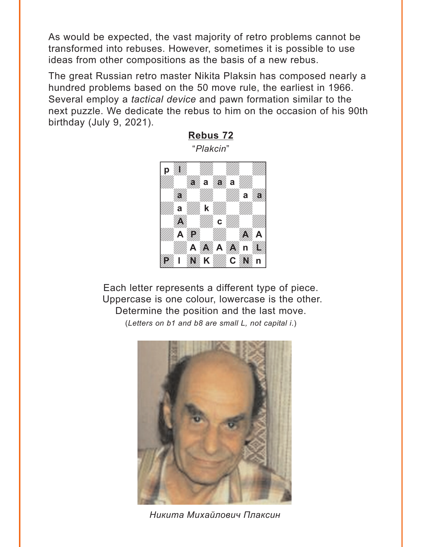<span id="page-3-0"></span>As would be expected, the vast majority of retro problems cannot be transformed into rebuses. However, sometimes it is possible to use ideas from other compositions as the basis of a new rebus.

The great Russian retro master Nikita Plaksin has composed nearly a hundred problems based on the 50 move rule, the earliest in 1966. Several employ a *tactical device* and pawn formation similar to the next puzzle. We dedicate the rebus to him on the occasion of his 90th birthday (July 9, 2021).



Each letter represents a different type of piece. Uppercase is one colour, lowercase is the other. Determine the position and the last move. (*Letters on b1 and b8 are small L, not capital i*.)



*Никита Михайлович Плаксин*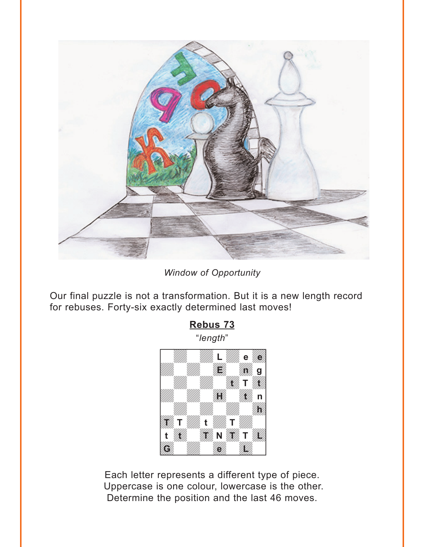<span id="page-4-0"></span>

*Window of Opportunity*

Our final puzzle is not a transformation. But it is a new length record for rebuses. Forty-six exactly determined last moves!



Each letter represents a different type of piece. Uppercase is one colour, lowercase is the other. Determine the position and the last 46 moves.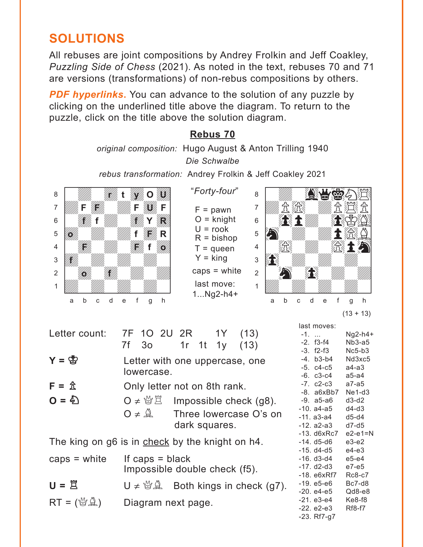# <span id="page-5-0"></span>**SOLUTIONS**

All rebuses are joint compositions by Andrey Frolkin and Jeff Coakley, *Puzzling Side of Chess* (2021). As noted in the text, rebuses 70 and 71 are versions (transformations) of non-rebus compositions by others.

**PDF hyperlinks.** You can advance to the solution of any puzzle by clicking on the underlined title above the diagram. To return to the puzzle, click on the title above the solution diagram.

## **[Rebus 70](#page-1-0)**

*original composition:* Hugo August & Anton Trilling 1940 *Die Schwalbe*

*rebus transformation:* Andrey Frolkin & Jeff Coakley 2021



"*Forty-four*"  $F =$  pawn  $O =$  knight  $U = \text{rook}$  $R = b$ ishop  $T =$  queen  $Y =$  king caps = white last move: 1...Ng2-h4+



| $(13 + 13)$ |  |
|-------------|--|
|             |  |

| Letter count:                                   | 7F 1O 2U 2R 1Y (13)<br>7f 3o 1r 1t 1y (13)   |  |               |                                                            |
|-------------------------------------------------|----------------------------------------------|--|---------------|------------------------------------------------------------|
| $Y = \bigcircled{S}$                            | Letter with one uppercase, one<br>lowercase. |  |               |                                                            |
| $F = \hat{X}$                                   | Only letter not on 8th rank.                 |  |               |                                                            |
| $Q = \mathcal{L}$                               | O ≠ 營営 Impossible check (g8).                |  | dark squares. | $O \neq \mathbb{Q}$ Three lowercase O's on                 |
| The king on g6 is in check by the knight on h4. |                                              |  |               |                                                            |
| $caps = white$ If $caps = black$                | Impossible double check (f5).                |  |               |                                                            |
| $U = \tilde{\Xi}$                               |                                              |  |               | $U \neq \mathcal{U} \mathcal{L}$ Both kings in check (g7). |
| $RT =$ ( $\mathbb{G}(\mathbb{Q})$ )             | Diagram next page.                           |  |               |                                                            |

|             | Ng2-h4+                                                                                                                                                                                                                                                             |
|-------------|---------------------------------------------------------------------------------------------------------------------------------------------------------------------------------------------------------------------------------------------------------------------|
|             | Nb3-a5                                                                                                                                                                                                                                                              |
|             | Nc5-b3                                                                                                                                                                                                                                                              |
|             | Nd3xc5                                                                                                                                                                                                                                                              |
| -5. c4-c5   | a4-a3                                                                                                                                                                                                                                                               |
|             | a5-a4                                                                                                                                                                                                                                                               |
|             | a7-a5                                                                                                                                                                                                                                                               |
| -8. a6xBb7  | Ne1-d3                                                                                                                                                                                                                                                              |
|             | d3-d2                                                                                                                                                                                                                                                               |
| -10. a4-a5  | d4-d3                                                                                                                                                                                                                                                               |
| -11. a3-a4  | d5-d4                                                                                                                                                                                                                                                               |
|             | d7-d5                                                                                                                                                                                                                                                               |
|             | e2-e1=N                                                                                                                                                                                                                                                             |
|             | e3-e2                                                                                                                                                                                                                                                               |
|             | e4-e3                                                                                                                                                                                                                                                               |
|             | e5-e4                                                                                                                                                                                                                                                               |
|             | e7-e5                                                                                                                                                                                                                                                               |
| -18. e6xRf7 | Rc8-c7                                                                                                                                                                                                                                                              |
|             | Bc7-d8                                                                                                                                                                                                                                                              |
|             | Qd8-e8                                                                                                                                                                                                                                                              |
|             | Ke8-f8                                                                                                                                                                                                                                                              |
|             | Rf8-f7                                                                                                                                                                                                                                                              |
|             |                                                                                                                                                                                                                                                                     |
|             | last moves:<br>-2. f3-f4<br>$-3. f2-f3$<br>-4. b3-b4<br>$-6. c3 - c4$<br>$-7.$ $c2-c3$<br>-9. a5-a6<br>-12. a2-a3<br>-13. d6xRc7<br>-14. d5-d6<br>-15. d4-d5<br>-16. d3-d4<br>$-17. d2-d3$<br>-19. e5-e6<br>-20. e4-e5<br>-21. e3-e4<br>$-22. e2-e3$<br>-23. Rf7-g7 |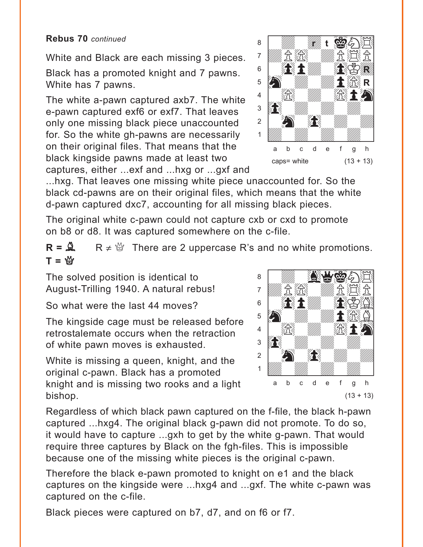White and Black are each missing 3 pieces. Black has a promoted knight and 7 pawns. White has 7 pawns.

The white a-pawn captured axb7. The white e-pawn captured exf6 or exf7. That leaves only one missing black piece unaccounted for. So the white gh-pawns are necessarily on their original files. That means that the black kingside pawns made at least two captures, either ...exf and ...hxg or ...gxf and



...hxg. That leaves one missing white piece unaccounted for. So the black cd-pawns are on their original files, which means that the white d-pawn captured dxc7, accounting for all missing black pieces.

The original white c-pawn could not capture cxb or cxd to promote on b8 or d8. It was captured somewhere on the c-file.

 $R = \mathbb{R}$  R  $\neq \mathbb{S}$  There are 2 uppercase R's and no white promotions.  $T = \mathfrak{B}$ with the set of the set of the set of the set of the set of the set of the set of the set of the set of the set of the set of the set of the set of the set of the set of the set of the set of the set of the set of the set

The solved position is identical to August-Trilling 1940. A natural rebus!

So what were the last 44 moves?

The kingside cage must be released before retrostalemate occurs when the retraction of white pawn moves is exhausted.

White is missing a queen, knight, and the original c-pawn. Black has a promoted knight and is missing two rooks and a light bishop.



Regardless of which black pawn captured on the f-file, the black h-pawn captured ...hxg4. The original black g-pawn did not promote. To do so, it would have to capture ...gxh to get by the white g-pawn. That would require three captures by Black on the fgh-files. This is impossible because one of the missing white pieces is the original c-pawn.

Therefore the black e-pawn promoted to knight on e1 and the black captures on the kingside were ...hxg4 and ...gxf. The white c-pawn was captured on the c-file.

Black pieces were captured on b7, d7, and on f6 or f7.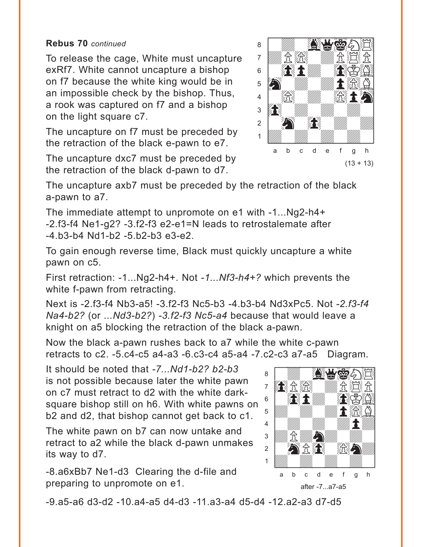To release the cage, White must uncapture exRf7. White cannot uncapture a bishop on f7 because the white king would be in an impossible check by the bishop. Thus, a rook was captured on f7 and a bishop on the light square c7.

The uncapture on f7 must be preceded by the retraction of the black e-pawn to e7.

The uncapture dxc7 must be preceded by the retraction of the black d-pawn to d7.



The uncapture axb7 must be preceded by the retraction of the black a-pawn to a7.

The immediate attempt to unpromote on e1 with -1...Ng2-h4+ -2.f3-f4 Ne1-g2? -3.f2-f3 e2-e1=N leads to retrostalemate after -4.b3-b4 Nd1-b2 -5.b2-b3 e3-e2.

To gain enough reverse time, Black must quickly uncapture a white pawn on c5.

First retraction: -1...Ng2-h4+. Not *-1...Nf3-h4+?* which prevents the white f-pawn from retracting.

Next is -2.f3-f4 Nb3-a5! -3.f2-f3 Nc5-b3 -4.b3-b4 Nd3xPc5. Not *-2.f3-f4 Na4-b2?* (or *...Nd3-b2?*) *-3.f2-f3 Nc5-a4* because that would leave a knight on a5 blocking the retraction of the black a-pawn.

Now the black a-pawn rushes back to a7 while the white c-pawn retracts to c2. -5.c4-c5 a4-a3 -6.c3-c4 a5-a4 -7.c2-c3 a7-a5 Diagram.

It should be noted that *-7...Nd1-b2? b2-b3* is not possible because later the white pawn on c7 must retract to d2 with the white darksquare bishop still on h6. With white pawns on b2 and d2, that bishop cannot get back to c1.

The white pawn on b7 can now untake and retract to a2 while the black d-pawn unmakes its way to d7.

-8.a6xBb7 Ne1-d3 Clearing the d-file and preparing to unpromote on e1.



-9.a5-a6 d3-d2 -10.a4-a5 d4-d3 -11.a3-a4 d5-d4 -12.a2-a3 d7-d5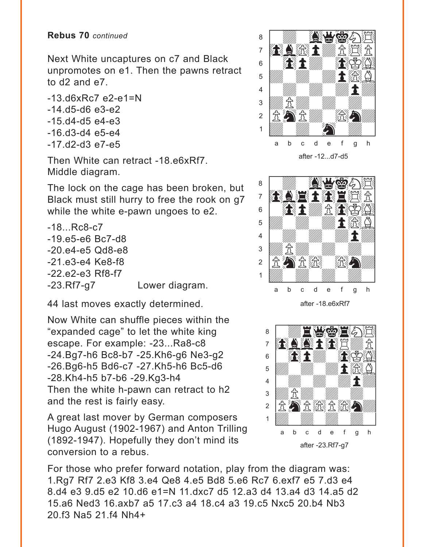Next White uncaptures on c7 and Black unpromotes on e1. Then the pawns retract to d2 and e7.

 $-13.06xRc7$  e2-e1=N -14.d5-d6 e3-e2 -15.d4-d5 e4-e3 -16.d3-d4 e5-e4 -17.d2-d3 e7-e5

Then White can retract -18.e6xRf7. Middle diagram.

The lock on the cage has been broken, but Black must still hurry to free the rook on g7 while the white e-pawn ungoes to e2.

-18...Rc8-c7 -19.e5-e6 Bc7-d8 -20.e4-e5 Qd8-e8 -21.e3-e4 Ke8-f8 -22.e2-e3 Rf8-f7 -23.Rf7-g7 Lower diagram.

44 last moves exactly determined.

Now White can shuffle pieces within the "expanded cage" to let the white king escape. For example: -23...Ra8-c8 -24.Bg7-h6 Bc8-b7 -25.Kh6-g6 Ne3-g2 -26.Bg6-h5 Bd6-c7 -27.Kh5-h6 Bc5-d6 -28.Kh4-h5 b7-b6 -29.Kg3-h4 Then the white h-pawn can retract to h2 and the rest is fairly easy.

A great last mover by German composers Hugo August (1902-1967) and Anton Trilling (1892-1947). Hopefully they don't mind its conversion to a rebus.

For those who prefer forward notation, play from the diagram was: 1.Rg7 Rf7 2.e3 Kf8 3.e4 Qe8 4.e5 Bd8 5.e6 Rc7 6.exf7 e5 7.d3 e4 8.d4 e3 9.d5 e2 10.d6 e1=N 11.dxc7 d5 12.a3 d4 13.a4 d3 14.a5 d2 15.a6 Ned3 16.axb7 a5 17.c3 a4 18.c4 a3 19.c5 Nxc5 20.b4 Nb3 20.f3 Na5 21.f4 Nh4+





after -18.e6xRf7

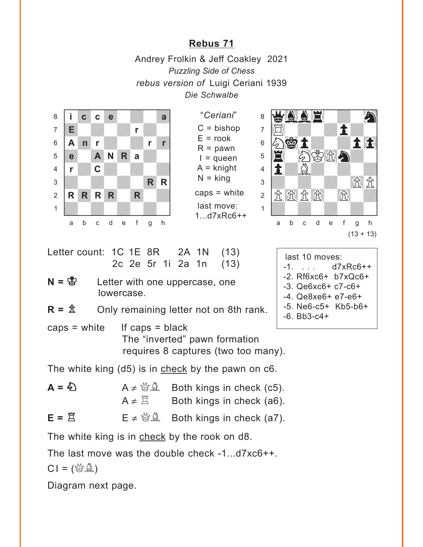## **[Rebus 71](#page-2-0)**

Andrey Frolkin & Jeff Coakley 2021 *Puzzling Side of Chess rebus version of* Luigi Ceriani 1939 *Die Schwalbe*

<span id="page-9-0"></span>

"*Ceriani*"  $C = b$ ishop  $E =$ rook  $R =$  pawn  $I =$ queen A = knight  $N =$  king caps = white last move: 1...d7xRc6++



-5. Ne6-c5+ Kb5-b6+

-6. Bb3-c4+

| A 1N (13)<br>a 1n (13) | last 10 moves:        |  |
|------------------------|-----------------------|--|
|                        | $-1.$ $d7xRc6++$      |  |
|                        | $-2. Rf6xc6+ b7xQc6+$ |  |
| ercase, one            | $-3.$ Qe6xc6+ c7-c6+  |  |
|                        | $-4.$ Qe8xe6+ e7-e6+  |  |

Letter count:  $1C$  1E 8R  $2A$ 2c 2e 5r 1i 2a

 $N = \S$  Letter with one upper lowercase.

 $R = \hat{\mathbb{Z}}$  Only remaining letter not on 8th rank.

 $caps = white$  If caps = black The "inverted" pawn formation requires 8 captures (two too many).

The white king (d5) is in check by the pawn on c6.

| $A = \sum$         | $A \neq \mathcal{B} \mathcal{L}$ Both kings in check (c5). |
|--------------------|------------------------------------------------------------|
|                    | $A \neq \mathbb{E}$ Both kings in check (a6).              |
| $E = \overline{2}$ | $E \neq \mathcal{B} \mathcal{L}$ Both kings in check (a7). |

The white king is in check by the rook on d8.

The last move was the double check -1...d7xc6++.

 $CI = (\mathcal{B} \mathcal{A})$ 

Diagram next page.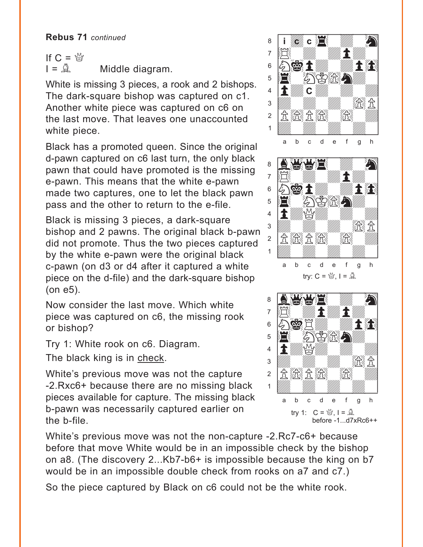If  $C = \frac{M}{2}$  $I = \mathbb{Q}$  Middle diagram.

White is missing 3 pieces, a rook and 2 bishops. The dark-square bishop was captured on c1. Another white piece was captured on c6 on the last move. That leaves one unaccounted white piece.

Black has a promoted queen. Since the original d-pawn captured on c6 last turn, the only black pawn that could have promoted is the missing e-pawn. This means that the white e-pawn made two captures, one to let the black pawn pass and the other to return to the e-file.

Black is missing 3 pieces, a dark-square bishop and 2 pawns. The original black b-pawn did not promote. Thus the two pieces captured by the white e-pawn were the original black c-pawn (on d3 or d4 after it captured a white piece on the d-file) and the dark-square bishop (on e5).

Now consider the last move. Which white piece was captured on c6, the missing rook or bishop?

Try 1: White rook on c6. Diagram.

The black king is in check.

White's previous move was not the capture -2.Rxc6+ because there are no missing black pieces available for capture. The missing black b-pawn was necessarily captured earlier on the b-file.

White's previous move was not the non-capture -2.Rc7-c6+ because before that move White would be in an impossible check by the bishop on a8. (The discovery 2...Kb7-b6+ is impossible because the king on b7 would be in an impossible double check from rooks on a7 and c7.)

So the piece captured by Black on c6 could not be the white rook.



try 1:  $C = \frac{M}{Q}$ ,  $I = \frac{N}{Q}$ before -1...d7xRc6++ a b c d e f g h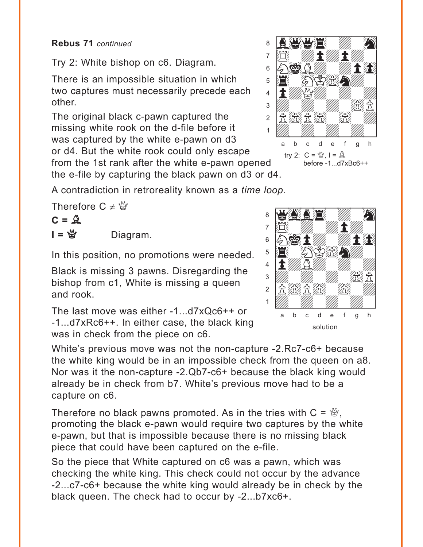Try 2: White bishop on c6. Diagram.

There is an impossible situation in which two captures must necessarily precede each other.

The original black c-pawn captured the missing white rook on the d-file before it was captured by the white e-pawn on d3 or d4. But the white rook could only escape from the 1st rank after the white e-pawn opened

the e-file by capturing the black pawn on d3 or d4.

A contradiction in retroreality known as a *time loop*.

Therefore  $C \neq \frac{M}{2}$ 

$$
C = \mathcal{Q}
$$

 $I = \mathfrak{G}$  Diagram.

In this position, no promotions were needed.

Black is missing 3 pawns. Disregarding the bishop from c1, White is missing a queen and rook.

The last move was either -1...d7xQc6++ or -1...d7xRc6++. In either case, the black king was in check from the piece on c6.

White's previous move was not the non-capture -2.Rc7-c6+ because the white king would be in an impossible check from the queen on a8. Nor was it the non-capture -2.Qb7-c6+ because the black king would already be in check from b7. White's previous move had to be a capture on c6.

Therefore no black pawns promoted. As in the tries with  $C = \mathcal{Q},$ promoting the black e-pawn would require two captures by the white e-pawn, but that is impossible because there is no missing black piece that could have been captured on the e-file.

So the piece that White captured on c6 was a pawn, which was checking the white king. This check could not occur by the advance -2...c7-c6+ because the white king would already be in check by the black queen. The check had to occur by -2...b7xc6+.



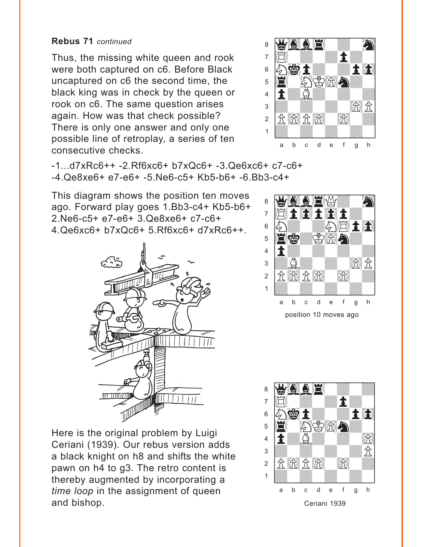Thus, the missing white queen and rook were both captured on c6. Before Black uncaptured on c6 the second time, the black king was in check by the queen or rook on c6. The same question arises again. How was that check possible? There is only one answer and only one possible line of retroplay, a series of ten consecutive checks.



-1...d7xRc6++ -2.Rf6xc6+ b7xQc6+ -3.Qe6xc6+ c7-c6+ -4.Qe8xe6+ e7-e6+ -5.Ne6-c5+ Kb5-b6+ -6.Bb3-c4+

This diagram shows the position ten moves ago. Forward play goes 1.Bb3-c4+ Kb5-b6+ 2.Ne6-c5+ e7-e6+ 3.Qe8xe6+ c7-c6+ 4.Qe6xc6+ b7xQc6+ 5.Rf6xc6+ d7xRc6++.





Here is the original problem by Luigi Ceriani (1939). Our rebus version adds a black knight on h8 and shifts the white pawn on h4 to g3. The retro content is thereby augmented by incorporating a *time loop* in the assignment of queen and bishop.

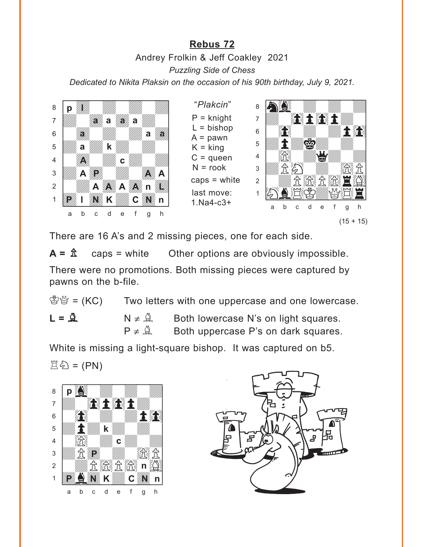## **[Rebus 72](#page-3-0)**

<span id="page-13-0"></span>





There are 16 A's and 2 missing pieces, one for each side.

 $A = \hat{\mathbb{Z}}$  caps = white Other options are obviously impossible. There were no promotions. Both missing pieces were captured by pawns on the b-file.

 $\mathbb{S}^{\omega}$  = (KC) Two letters with one uppercase and one lowercase.  $L = \mathbf{A}$   $N \neq \mathbf{A}$  Both lowercase N's on light squares.  $P \neq \mathcal{Q}$  Both uppercase P's on dark squares.

White is missing a light-square bishop. It was captured on b5.  $\mathbb{E}\mathbb{\&} = (PN)$ 



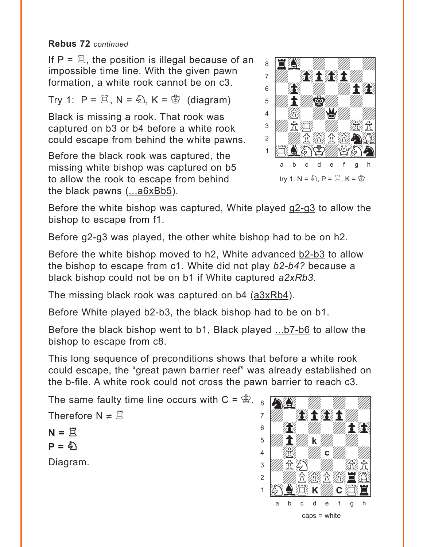If  $P = \mathbb{Z}$ , the position is illegal because of an impossible time line. With the given pawn formation, a white rook cannot be on c3.

Try 1:  $P = \mathbb{Z}$ , N =  $\mathbb{Z}$ , K =  $\mathbb{Z}$  (diagram)

Black is missing a rook. That rook was captured on b3 or b4 before a white rook could escape from behind the white pawns.

Before the black rook was captured, the missing white bishop was captured on b5 to allow the rook to escape from behind the black pawns  $(\dots a6xBb5)$ .



Before the white bishop was captured, White played g2-g3 to allow the bishop to escape from f1.

Before g2-g3 was played, the other white bishop had to be on h2.

Before the white bishop moved to h2, White advanced b2-b3 to allow the bishop to escape from c1. White did not play *b2-b4?* because a black bishop could not be on b1 if White captured *a2xRb3*.

The missing black rook was captured on b4  $(a3xRb4)$ .

Before White played b2-b3, the black bishop had to be on b1.

Before the black bishop went to b1, Black played ...b7-b6 to allow the bishop to escape from c8.

This long sequence of preconditions shows that before a white rook could escape, the "great pawn barrier reef" was already established on the b-file. A white rook could not cross the pawn barrier to reach c3.

The same faulty time line occurs with  $C = \mathcal{B}$ .

Therefore  $N \neq \mathbb{Z}$ 

$$
N = \overset{\sim}{\mathbb{E}}
$$

$$
P = \overset{\sim}{\mathbb{E}}
$$

Diagram.

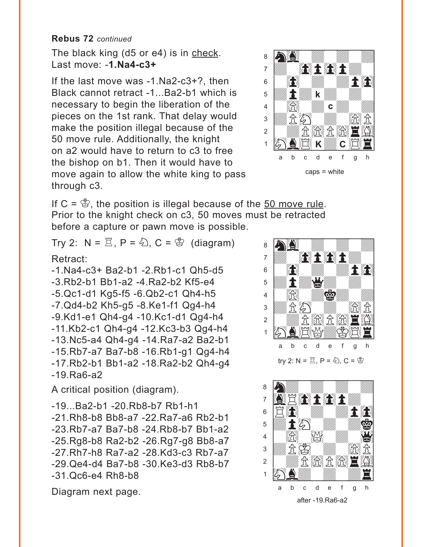The black king (d5 or e4) is in check. Last move: -**1.Na4-c3+**

If the last move was -1.Na2-c3+?, then Black cannot retract -1...Ba2-b1 which is necessary to begin the liberation of the pieces on the 1st rank. That delay would make the position illegal because of the 50 move rule. Additionally, the knight on a2 would have to return to c3 to free the bishop on b1. Then it would have to move again to allow the white king to pass through c3.



If  $C = \mathcal{B}$ , the position is illegal because of the 50 move rule. Prior to the knight check on c3, 50 moves must be retracted before a capture or pawn move is possible. with the set of the set of the set of the set of the set of the set of the set of the set of the set of the set of the set of the set of the set of the set of the set of the set of the set of the set of the set of the set

Try 2:  $N = \mathbb{Z}$ ,  $P = \mathbb{Z}$ ,  $C = \mathbb{Z}$  (diagram)

## Retract:

-1.Na4-c3+ Ba2-b1 -2.Rb1-c1 Qh5-d5 -3.Rb2-b1 Bb1-a2 -4.Ra2-b2 Kf5-e4 -5.Qc1-d1 Kg5-f5 -6.Qb2-c1 Qh4-h5 -7.Qd4-b2 Kh5-g5 -8.Ke1-f1 Qg4-h4 -9.Kd1-e1 Qh4-g4 -10.Kc1-d1 Qg4-h4 -11.Kb2-c1 Qh4-g4 -12.Kc3-b3 Qg4-h4 -13.Nc5-a4 Qh4-g4 -14.Ra7-a2 Ba2-b1 -15.Rb7-a7 Ba7-b8 -16.Rb1-g1 Qg4-h4 -17.Rb2-b1 Bb1-a2 -18.Ra2-b2 Qh4-g4 -19.Ra6-a2

A critical position (diagram).

-19...Ba2-b1 -20.Rb8-b7 Rb1-h1 -21.Rh8-b8 Bb8-a7 -22.Ra7-a6 Rb2-b1 -23.Rb7-a7 Ba7-b8 -24.Rb8-b7 Bb1-a2 -25.Rg8-b8 Ra2-b2 -26.Rg7-g8 Bb8-a7 -27.Rh7-h8 Ra7-a2 -28.Kd3-c3 Rb7-a7 -29.Qe4-d4 Ba7-b8 -30.Ke3-d3 Rb8-b7 -31.Qc6-e4 Rh8-b8





Diagram next page.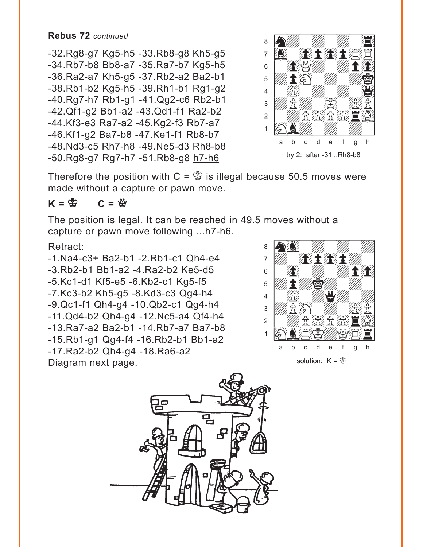-32.Rg8-g7 Kg5-h5 -33.Rb8-g8 Kh5-g5 -34.Rb7-b8 Bb8-a7 -35.Ra7-b7 Kg5-h5 -36.Ra2-a7 Kh5-g5 -37.Rb2-a2 Ba2-b1 -38.Rb1-b2 Kg5-h5 -39.Rh1-b1 Rg1-g2 -40.Rg7-h7 Rb1-g1 -41.Qg2-c6 Rb2-b1 -42.Qf1-g2 Bb1-a2 -43.Qd1-f1 Ra2-b2 -44.Kf3-e3 Ra7-a2 -45.Kg2-f3 Rb7-a7 -46.Kf1-g2 Ba7-b8 -47.Ke1-f1 Rb8-b7 -48.Nd3-c5 Rh7-h8 -49.Ne5-d3 Rh8-b8 -50.Rg8-g7 Rg7-h7 -51.Rb8-g8 h7-h6



Therefore the position with  $C = \mathcal{B}$  is illegal because 50.5 moves were made without a capture or pawn move.

## $K = \overset{\circ}{\otimes}$   $C = \overset{\circ}{\otimes}$

The position is legal. It can be reached in 49.5 moves without a capture or pawn move following ...h7-h6. with the sum of the set of the set of the set of the set of the set of the set of the set of the set of the set of the set of the set of the set of the set of the set of the set of the set of the set of the set of the set

## Retract:

-1.Na4-c3+ Ba2-b1 -2.Rb1-c1 Qh4-e4 -3.Rb2-b1 Bb1-a2 -4.Ra2-b2 Ke5-d5 -5.Kc1-d1 Kf5-e5 -6.Kb2-c1 Kg5-f5 -7.Kc3-b2 Kh5-g5 -8.Kd3-c3 Qg4-h4 -9.Qc1-f1 Qh4-g4 -10.Qb2-c1 Qg4-h4 -11.Qd4-b2 Qh4-g4 -12.Nc5-a4 Qf4-h4 -13.Ra7-a2 Ba2-b1 -14.Rb7-a7 Ba7-b8 -15.Rb1-g1 Qg4-f4 -16.Rb2-b1 Bb1-a2 -17.Ra2-b2 Qh4-g4 -18.Ra6-a2 Diagram next page.



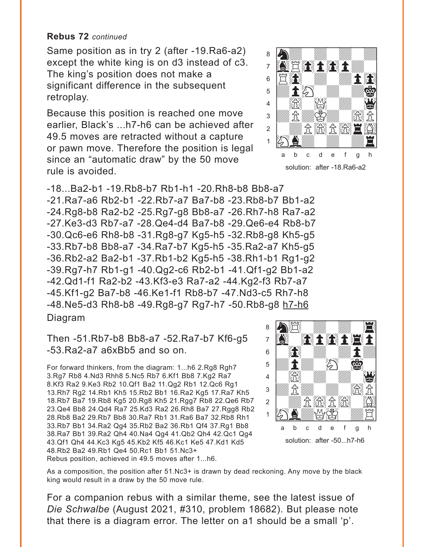Same position as in try 2 (after -19.Ra6-a2) except the white king is on d3 instead of c3. The king's position does not make a significant difference in the subsequent retroplay.

Because this position is reached one move earlier, Black's ...h7-h6 can be achieved after 49.5 moves are retracted without a capture or pawn move. Therefore the position is legal since an "automatic draw" by the 50 move rule is avoided.

-18...Ba2-b1 -19.Rb8-b7 Rb1-h1 -20.Rh8-b8 Bb8-a7 -21.Ra7-a6 Rb2-b1 -22.Rb7-a7 Ba7-b8 -23.Rb8-b7 Bb1-a2 -24.Rg8-b8 Ra2-b2 -25.Rg7-g8 Bb8-a7 -26.Rh7-h8 Ra7-a2 -27.Ke3-d3 Rb7-a7 -28.Qe4-d4 Ba7-b8 -29.Qe6-e4 Rb8-b7 -30.Qc6-e6 Rh8-b8 -31.Rg8-g7 Kg5-h5 -32.Rb8-g8 Kh5-g5 -33.Rb7-b8 Bb8-a7 -34.Ra7-b7 Kg5-h5 -35.Ra2-a7 Kh5-g5 -36.Rb2-a2 Ba2-b1 -37.Rb1-b2 Kg5-h5 -38.Rh1-b1 Rg1-g2 -39.Rg7-h7 Rb1-g1 -40.Qg2-c6 Rb2-b1 -41.Qf1-g2 Bb1-a2 -42.Qd1-f1 Ra2-b2 -43.Kf3-e3 Ra7-a2 -44.Kg2-f3 Rb7-a7 -45.Kf1-g2 Ba7-b8 -46.Ke1-f1 Rb8-b7 -47.Nd3-c5 Rh7-h8 -48.Ne5-d3 Rh8-b8 -49.Rg8-g7 Rg7-h7 -50.Rb8-g8 h7-h6 Diagram w\_\_\_\_\_\_\_\_w

Then -51.Rb7-b8 Bb8-a7 -52.Ra7-b7 Kf6-g5 -53.Ra2-a7 a6xBb5 and so on.

For forward thinkers, from the diagram: 1...h6 2.Rg8 Rgh7 3.Rg7 Rb8 4.Nd3 Rhh8 5.Nc5 Rb7 6.Kf1 Bb8 7.Kg2 Ra7 8.Kf3 Ra2 9.Ke3 Rb2 10.Qf1 Ba2 11.Qg2 Rb1 12.Qc6 Rg1 13.Rh7 Rg2 14.Rb1 Kh5 15.Rb2 Bb1 16.Ra2 Kg5 17.Ra7 Kh5 18.Rb7 Ba7 19.Rb8 Kg5 20.Rg8 Kh5 21.Rgg7 Rb8 22.Qe6 Rb7 23.Qe4 Bb8 24.Qd4 Ra7 25.Kd3 Ra2 26.Rh8 Ba7 27.Rgg8 Rb2 28.Rb8 Ba2 29.Rb7 Bb8 30.Ra7 Rb1 31.Ra6 Ba7 32.Rb8 Rh1 33.Rb7 Bb1 34.Ra2 Qg4 35.Rb2 Ba2 36.Rb1 Qf4 37.Rg1 Bb8 38.Ra7 Bb1 39.Ra2 Qh4 40.Na4 Qg4 41.Qb2 Qh4 42.Qc1 Qg4 43.Qf1 Qh4 44.Kc3 Kg5 45.Kb2 Kf5 46.Kc1 Ke5 47.Kd1 Kd5 48.Rb2 Ba2 49.Rb1 Qe4 50.Rc1 Bb1 51.Nc3+ Rebus position, achieved in 49.5 moves after 1...h6.

As a composition, the position after 51.Nc3+ is drawn by dead reckoning. Any move by the black king would result in a draw by the 50 move rule.

For a companion rebus with a similar theme, see the latest issue of *Die Schwalbe* (August 2021, #310, problem 18682). But please note that there is a diagram error. The letter on a1 should be a small 'p'.



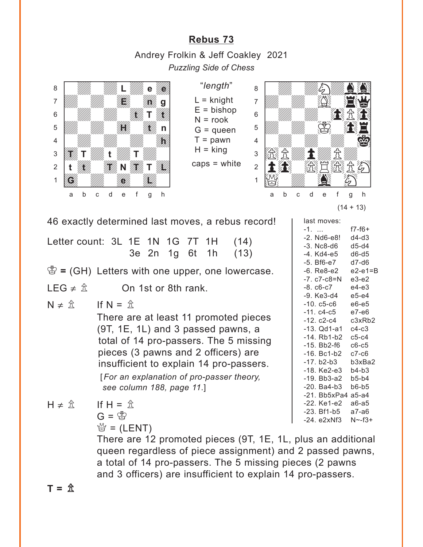## **[Rebus 73](#page-4-0)**

<span id="page-18-0"></span>Andrey Frolkin & Jeff Coakley 2021 *Puzzling Side of Chess*



"*length*"  $L =$  knight  $E = b$ ishop  $N =$ rook  $G =$  queen  $T =$  pawn



caps = white



last moves:

-1. ... f7-f6+

 $(14 + 13)$ 

46 exactly determined last moves, a rebus record!

Letter count: 3L 1E 1N 1G 7T 1H (14) 3e 2n 1g 6t 1h (13)

 $\mathcal{B} = (GH)$  Letters with one upper, one lowercase.

LEG  $\neq \hat{\mathbb{Z}}$  On 1st or 8th rank.

 $N \neq \hat{\pi}$  If  $N = \hat{\pi}$ 

There are at least 11 promoted pieces (9T, 1E, 1L) and 3 passed pawns, a total of 14 pro-passers. The 5 missing pieces (3 pawns and 2 officers) are insufficient to explain 14 pro-passers. [*For an explanation of pro-passer theory, see column 188, page 11*.]

-2. Nd6-e8! d4-d3 -3. Nc8-d6 d5-d4 -4. Kd4-e5 d6-d5 -5. Bf6-e7 d7-d6 -6. Re8-e2 e2-e1=B -7. c7-c8=N e3-e2 -8. c6-c7 e4-e3 -9. Ke3-d4 e5-e4 -10. c5-c6 e6-e5 -11. c4-c5 e7-e6 -12. c2-c4 c3xRb2 -13. Qd1-a1 c4-c3 -14. Rb1-b2 c5-c4 -15. Bb2-f6 c6-c5 -16. Bc1-b2 c7-c6 -17. b2-b3 b3xBa2 -18. Ke2-e3 b4-b3 -19. Bb3-a2 b5-b4 -20. Ba4-b3 b6-b5 -21. Bb5xPa4 a5-a4 -22. Ke1-e2 a6-a5 -23. Bf1-b5 a7-a6 -24. e2xNf3 N~-f3+

 $H \neq \hat{\mathcal{R}}$  If  $H = \hat{\mathcal{R}}$  $G = \mathbb{S}$ 

 $\frac{M}{Q}$  = (LENT)

There are 12 promoted pieces (9T, 1E, 1L, plus an additional queen regardless of piece assignment) and 2 passed pawns, a total of 14 pro-passers. The 5 missing pieces (2 pawns and 3 officers) are insufficient to explain 14 pro-passers.

 $T = \hat{X}$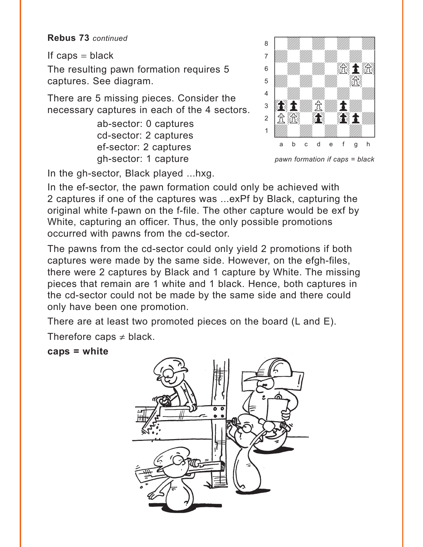If caps  $=$  black

The resulting pawn formation requires 5 captures. See diagram.

There are 5 missing pieces. Consider the necessary captures in each of the 4 sectors.

> ab-sector: 0 captures cd-sector: 2 captures ef-sector: 2 captures gh-sector: 1 capture

In the gh-sector, Black played ...hxg.

a **chunga a chunga a chunga a chunga a chunga a** àdwdwdwdw]  $\mathfrak{s}$  and  $\mathbb{Z}$  with  $\mathbb{Z}$   $\mathbb{Z}$   $\mathbb{Z}$   $\mathbb{Z}$   $\mathbb{Z}$   $\mathbb{Z}$   $\mathbb{Z}$  $\overline{\mathcal{L}}$ 4 William William William William  $\mathbf{E}$  if  $\mathbf{H}$  is the  $\mathbf{H}$ 2 【食欲】 《養》 《養食】 1 *Uddyn William William William Company William Company* a b c d e f g h

with the set of the set of the set of the set of the set of the set of the set of the set of the set of the set of the set of the set of the set of the set of the set of the set of the set of the set of the set of the set

*pawn formation if caps = black*

In the ef-sector, the pawn formation could only be achieved with 2 captures if one of the captures was ...exPf by Black, capturing the original white f-pawn on the f-file. The other capture would be exf by White, capturing an officer. Thus, the only possible promotions occurred with pawns from the cd-sector.

The pawns from the cd-sector could only yield 2 promotions if both captures were made by the same side. However, on the efgh-files, there were 2 captures by Black and 1 capture by White. The missing pieces that remain are 1 white and 1 black. Hence, both captures in the cd-sector could not be made by the same side and there could only have been one promotion.

There are at least two promoted pieces on the board (L and E).

Therefore caps  $\neq$  black.

#### **caps = white**

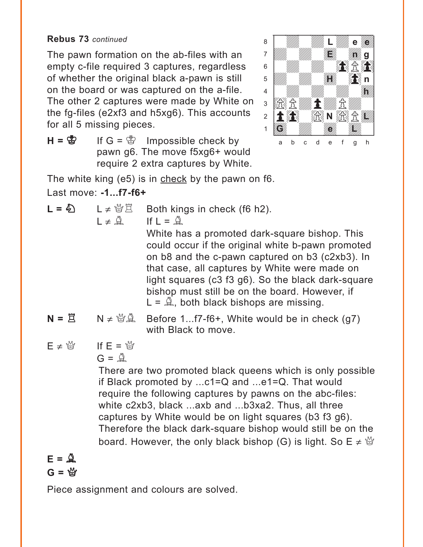The pawn formation on the ab-files with an empty c-file required 3 captures, regardless of whether the original black a-pawn is still on the board or was captured on the a-file. The other 2 captures were made by White on the fg-files (e2xf3 and h5xg6). This accounts for all 5 missing pieces.



 $H = \&$  If  $G = \&$  Impossible check by pawn g6. The move f5xg6+ would require 2 extra captures by White.

The white king (e5) is in check by the pawn on f6.

Last move: **-1...f7-f6+**

$$
L = \mathbb{Z}
$$

 $I \neq \hat{A}$  If  $I = \hat{A}$ 

 $L \neq \mathcal{U} \times \mathcal{L}$  Both kings in check (f6 h2).

White has a promoted dark-square bishop. This could occur if the original white b-pawn promoted on b8 and the c-pawn captured on b3 (c2xb3). In that case, all captures by White were made on light squares (c3 f3 g6). So the black dark-square bishop must still be on the board. However, if  $L = \mathbb{Q}$ , both black bishops are missing.

- $N = \Xi$   $N \neq \mathcal{B} \mathcal{A}$  Before 1...f7-f6+, White would be in check (q7) with Black to move.
- $E \neq \frac{M}{2}$  If  $E = \frac{M}{2}$  $G = \mathbb{Q}$

There are two promoted black queens which is only possible if Black promoted by ...c1=Q and ...e1=Q. That would require the following captures by pawns on the abc-files: white c2xb3, black ...axb and ...b3xa2. Thus, all three captures by White would be on light squares (b3 f3 g6). Therefore the black dark-square bishop would still be on the board. However, the only black bishop (G) is light. So  $E \neq \mathcal{Q}$ 

## $E = \mathbf{Q}$  $G = \mathcal{Q}$

Piece assignment and colours are solved.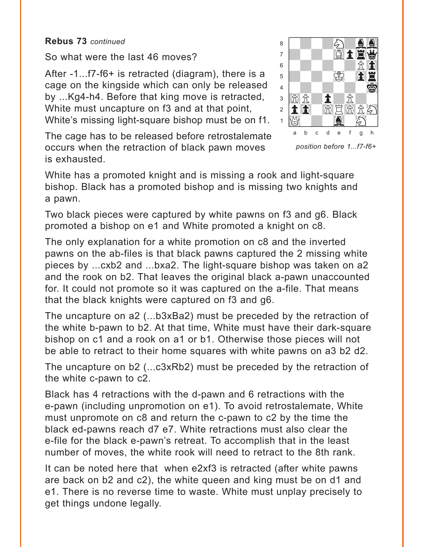So what were the last 46 moves?

After -1...f7-f6+ is retracted (diagram), there is a cage on the kingside which can only be released by ...Kg4-h4. Before that king move is retracted, White must uncapture on f3 and at that point, White's missing light-square bishop must be on f1.

The cage has to be released before retrostalemate occurs when the retraction of black pawn moves is exhausted.



*position before 1...f7-f6+*

White has a promoted knight and is missing a rook and light-square bishop. Black has a promoted bishop and is missing two knights and a pawn.

Two black pieces were captured by white pawns on f3 and g6. Black promoted a bishop on e1 and White promoted a knight on c8.

The only explanation for a white promotion on c8 and the inverted pawns on the ab-files is that black pawns captured the 2 missing white pieces by ...cxb2 and ...bxa2. The light-square bishop was taken on a2 and the rook on b2. That leaves the original black a-pawn unaccounted for. It could not promote so it was captured on the a-file. That means that the black knights were captured on f3 and g6.

The uncapture on a2 (...b3xBa2) must be preceded by the retraction of the white b-pawn to b2. At that time, White must have their dark-square bishop on c1 and a rook on a1 or b1. Otherwise those pieces will not be able to retract to their home squares with white pawns on a3 b2 d2.

The uncapture on b2 (...c3xRb2) must be preceded by the retraction of the white c-pawn to c2.

Black has 4 retractions with the d-pawn and 6 retractions with the e-pawn (including unpromotion on e1). To avoid retrostalemate, White must unpromote on c8 and return the c-pawn to c2 by the time the black ed-pawns reach d7 e7. White retractions must also clear the e-file for the black e-pawn's retreat. To accomplish that in the least number of moves, the white rook will need to retract to the 8th rank.

It can be noted here that when e2xf3 is retracted (after white pawns are back on b2 and c2), the white queen and king must be on d1 and e1. There is no reverse time to waste. White must unplay precisely to get things undone legally.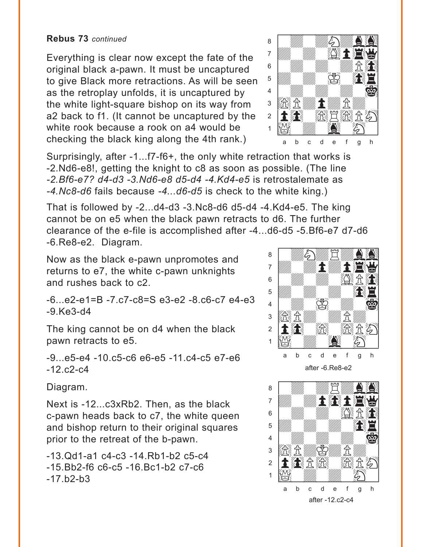**Rebus 73** *continued*

Everything is clear now except the fate of the original black a-pawn. It must be uncaptured to give Black more retractions. As will be seen as the retroplay unfolds, it is uncaptured by the white light-square bishop on its way from a2 back to f1. (It cannot be uncaptured by the white rook because a rook on a4 would be checking the black king along the 4th rank.)



Surprisingly, after -1...f7-f6+, the only white retraction that works is -2.Nd6-e8!, getting the knight to c8 as soon as possible. (The line *-2.Bf6-e7? d4-d3 -3.Nd6-e8 d5-d4 -4.Kd4-e5* is retrostalemate as *-4.Nc8-d6* fails because *-4...d6-d5* is check to the white king.)

That is followed by -2...d4-d3 -3.Nc8-d6 d5-d4 -4.Kd4-e5. The king cannot be on e5 when the black pawn retracts to d6. The further clearance of the e-file is accomplished after -4...d6-d5 -5.Bf6-e7 d7-d6 -6.Re8-e2. Diagram. with the set of the set of the set of the set of the set of the set of the set of the set of the set of the set of the set of the set of the set of the set of the set of the set of the set of the set of the set of the set

Now as the black e-pawn unpromotes and returns to e7, the white c-pawn unknights and rushes back to c2.

-6...e2-e1=B -7.c7-c8=S e3-e2 -8.c6-c7 e4-e3 -9.Ke3-d4

The king cannot be on d4 when the black pawn retracts to e5.

-9...e5-e4 -10.c5-c6 e6-e5 -11.c4-c5 e7-e6  $-12. c2-c4$ 

Diagram.

Next is -12...c3xRb2. Then, as the black c-pawn heads back to c7, the white queen and bishop return to their original squares prior to the retreat of the b-pawn.

-13.Qd1-a1 c4-c3 -14.Rb1-b2 c5-c4 -15.Bb2-f6 c6-c5 -16.Bc1-b2 c7-c6  $-17.b2-b3$